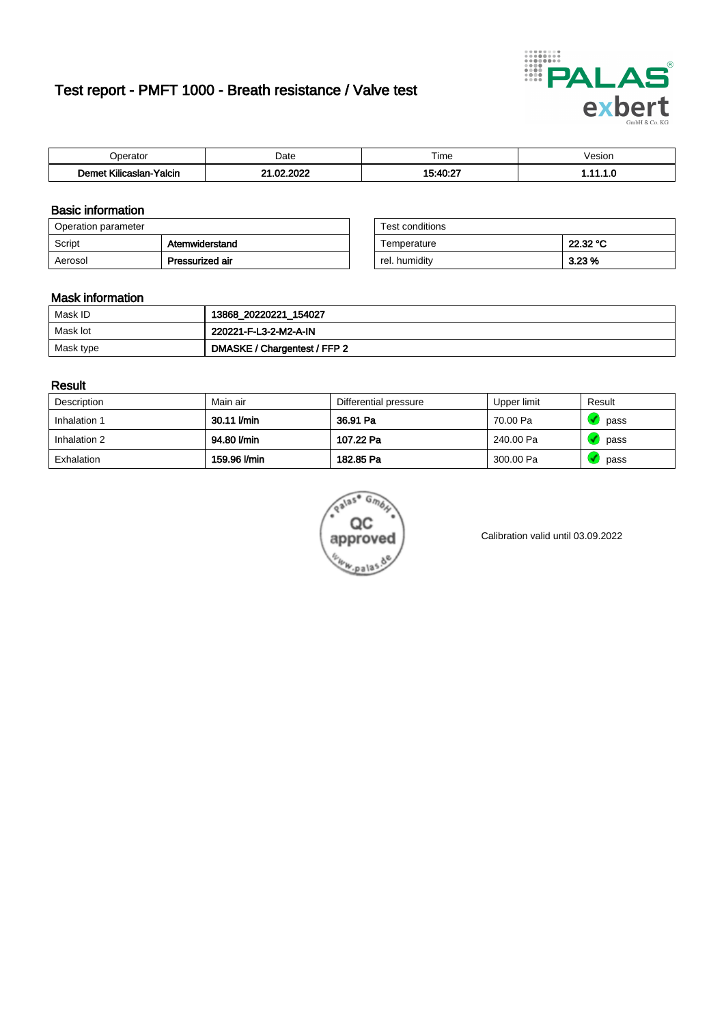# Test report - PMFT 1000 - Breath resistance / Valve test



| n<br>alul                                    | Date             | $- \cdot$<br>l ime | esion/ |
|----------------------------------------------|------------------|--------------------|--------|
| -<br><b>SAMP</b><br>Yalcin<br>aslan<br>Kilic | 000<br>- ne<br>. | $15.10 \cdot 27$   | .      |

### Basic information

| Operation parameter |                 | Test conditions |          |
|---------------------|-----------------|-----------------|----------|
| Script              | Atemwiderstand  | Temperature     | 22.32 °C |
| Aerosol             | Pressurized air | rel. humiditv   | $3.23\%$ |

| Test conditions |          |
|-----------------|----------|
| Temperature     | 22.32 °C |
| rel. humidity   | 3.23%    |

### Mask information

| Mask ID   | 13868_20220221_154027        |
|-----------|------------------------------|
| Mask lot  | 220221-F-L3-2-M2-A-IN        |
| Mask type | DMASKE / Chargentest / FFP 2 |

### Result

| Description  | Main air     | Differential pressure | Upper limit | Result |
|--------------|--------------|-----------------------|-------------|--------|
| Inhalation 1 | 30.11 l/min  | 36.91 Pa              | 70.00 Pa    | pass   |
| Inhalation 2 | 94.80 l/min  | 107.22 Pa             | 240.00 Pa   | pass   |
| Exhalation   | 159.96 l/min | 182.85 Pa             | 300.00 Pa   | pass   |



Calibration valid until 03.09.2022